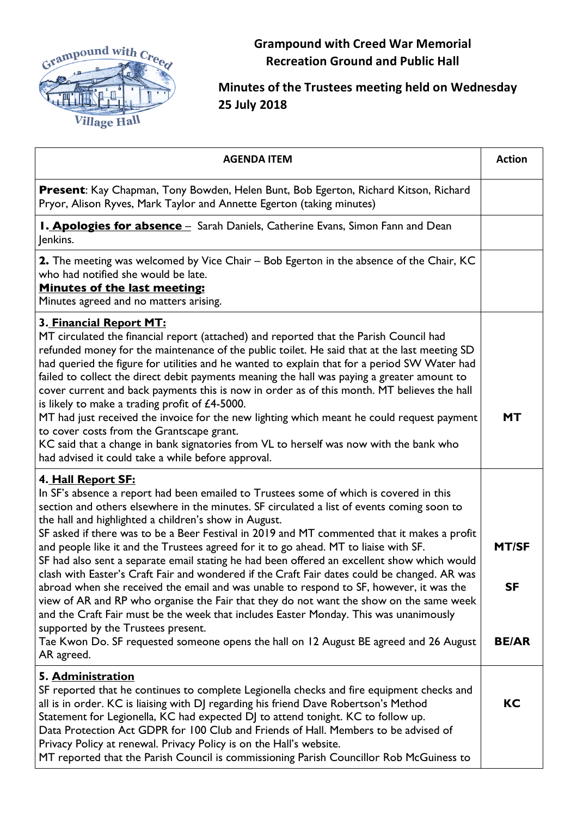

**Grampound with Creed War Memorial Recreation Ground and Public Hall**

## **Minutes of the Trustees meeting held on Wednesday 25 July 2018**

| <b>AGENDA ITEM</b>                                                                                                                                                                                                                                                                                                                                                                                                                                                                                                                                                                                                                                                                                                                                                                                                                                                                                                                                                                                                                                                                    | <b>Action</b>                             |
|---------------------------------------------------------------------------------------------------------------------------------------------------------------------------------------------------------------------------------------------------------------------------------------------------------------------------------------------------------------------------------------------------------------------------------------------------------------------------------------------------------------------------------------------------------------------------------------------------------------------------------------------------------------------------------------------------------------------------------------------------------------------------------------------------------------------------------------------------------------------------------------------------------------------------------------------------------------------------------------------------------------------------------------------------------------------------------------|-------------------------------------------|
| Present: Kay Chapman, Tony Bowden, Helen Bunt, Bob Egerton, Richard Kitson, Richard<br>Pryor, Alison Ryves, Mark Taylor and Annette Egerton (taking minutes)                                                                                                                                                                                                                                                                                                                                                                                                                                                                                                                                                                                                                                                                                                                                                                                                                                                                                                                          |                                           |
| <b>I. Apologies for absence</b> - Sarah Daniels, Catherine Evans, Simon Fann and Dean<br>Jenkins.                                                                                                                                                                                                                                                                                                                                                                                                                                                                                                                                                                                                                                                                                                                                                                                                                                                                                                                                                                                     |                                           |
| <b>2.</b> The meeting was welcomed by Vice Chair – Bob Egerton in the absence of the Chair, KC<br>who had notified she would be late.<br>Minutes of the last meeting:<br>Minutes agreed and no matters arising.                                                                                                                                                                                                                                                                                                                                                                                                                                                                                                                                                                                                                                                                                                                                                                                                                                                                       |                                           |
| 3. Financial Report MT:<br>MT circulated the financial report (attached) and reported that the Parish Council had<br>refunded money for the maintenance of the public toilet. He said that at the last meeting SD<br>had queried the figure for utilities and he wanted to explain that for a period SW Water had<br>failed to collect the direct debit payments meaning the hall was paying a greater amount to<br>cover current and back payments this is now in order as of this month. MT believes the hall<br>is likely to make a trading profit of $£4-5000$ .<br>MT had just received the invoice for the new lighting which meant he could request payment<br>to cover costs from the Grantscape grant.<br>KC said that a change in bank signatories from VL to herself was now with the bank who<br>had advised it could take a while before approval.                                                                                                                                                                                                                       | <b>MT</b>                                 |
| 4. Hall Report SF:<br>In SF's absence a report had been emailed to Trustees some of which is covered in this<br>section and others elsewhere in the minutes. SF circulated a list of events coming soon to<br>the hall and highlighted a children's show in August.<br>SF asked if there was to be a Beer Festival in 2019 and MT commented that it makes a profit<br>and people like it and the Trustees agreed for it to go ahead. MT to liaise with SF.<br>SF had also sent a separate email stating he had been offered an excellent show which would<br>clash with Easter's Craft Fair and wondered if the Craft Fair dates could be changed. AR was<br>abroad when she received the email and was unable to respond to SF, however, it was the<br>view of AR and RP who organise the Fair that they do not want the show on the same week<br>and the Craft Fair must be the week that includes Easter Monday. This was unanimously<br>supported by the Trustees present.<br>Tae Kwon Do. SF requested someone opens the hall on 12 August BE agreed and 26 August<br>AR agreed. | <b>MT/SF</b><br><b>SF</b><br><b>BE/AR</b> |
| 5. Administration<br>SF reported that he continues to complete Legionella checks and fire equipment checks and<br>all is in order. KC is liaising with DJ regarding his friend Dave Robertson's Method<br>Statement for Legionella, KC had expected DJ to attend tonight. KC to follow up.<br>Data Protection Act GDPR for 100 Club and Friends of Hall. Members to be advised of<br>Privacy Policy at renewal. Privacy Policy is on the Hall's website.<br>MT reported that the Parish Council is commissioning Parish Councillor Rob McGuiness to                                                                                                                                                                                                                                                                                                                                                                                                                                                                                                                                   | <b>KC</b>                                 |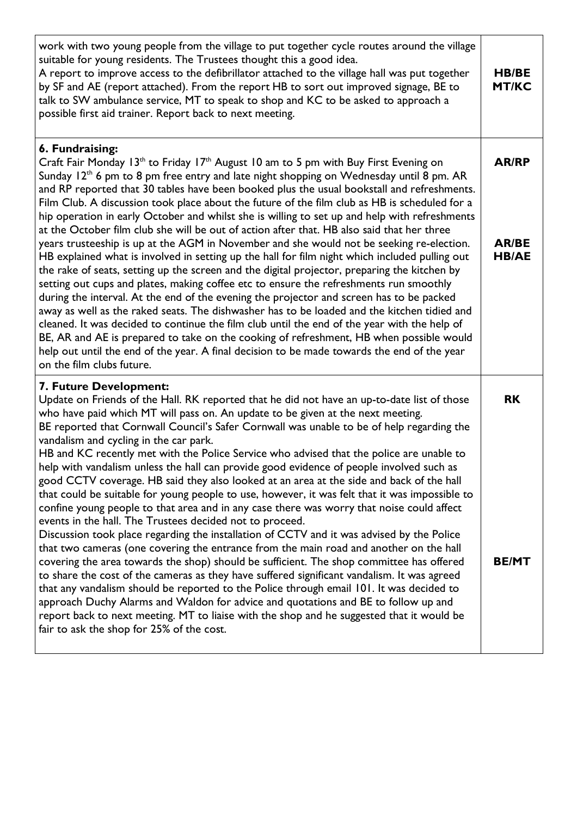| work with two young people from the village to put together cycle routes around the village<br>suitable for young residents. The Trustees thought this a good idea.<br>A report to improve access to the defibrillator attached to the village hall was put together<br>by SF and AE (report attached). From the report HB to sort out improved signage, BE to<br>talk to SW ambulance service, MT to speak to shop and KC to be asked to approach a<br>possible first aid trainer. Report back to next meeting.                                                                                                                                                                                                                                                                                                                                                                                                                                                                                                                                                                                                                                                                                                                                                                                                                                                                                                                                                                                                                                                                                             | <b>HB/BE</b><br><b>MT/KC</b>                 |
|--------------------------------------------------------------------------------------------------------------------------------------------------------------------------------------------------------------------------------------------------------------------------------------------------------------------------------------------------------------------------------------------------------------------------------------------------------------------------------------------------------------------------------------------------------------------------------------------------------------------------------------------------------------------------------------------------------------------------------------------------------------------------------------------------------------------------------------------------------------------------------------------------------------------------------------------------------------------------------------------------------------------------------------------------------------------------------------------------------------------------------------------------------------------------------------------------------------------------------------------------------------------------------------------------------------------------------------------------------------------------------------------------------------------------------------------------------------------------------------------------------------------------------------------------------------------------------------------------------------|----------------------------------------------|
| 6. Fundraising:<br>Craft Fair Monday 13 <sup>th</sup> to Friday 17 <sup>th</sup> August 10 am to 5 pm with Buy First Evening on<br>Sunday 12 <sup>th</sup> 6 pm to 8 pm free entry and late night shopping on Wednesday until 8 pm. AR<br>and RP reported that 30 tables have been booked plus the usual bookstall and refreshments.<br>Film Club. A discussion took place about the future of the film club as HB is scheduled for a<br>hip operation in early October and whilst she is willing to set up and help with refreshments<br>at the October film club she will be out of action after that. HB also said that her three<br>years trusteeship is up at the AGM in November and she would not be seeking re-election.<br>HB explained what is involved in setting up the hall for film night which included pulling out<br>the rake of seats, setting up the screen and the digital projector, preparing the kitchen by<br>setting out cups and plates, making coffee etc to ensure the refreshments run smoothly<br>during the interval. At the end of the evening the projector and screen has to be packed<br>away as well as the raked seats. The dishwasher has to be loaded and the kitchen tidied and<br>cleaned. It was decided to continue the film club until the end of the year with the help of<br>BE, AR and AE is prepared to take on the cooking of refreshment, HB when possible would<br>help out until the end of the year. A final decision to be made towards the end of the year<br>on the film clubs future.                                                               | <b>AR/RP</b><br><b>AR/BE</b><br><b>HB/AE</b> |
| 7. Future Development:<br>Update on Friends of the Hall. RK reported that he did not have an up-to-date list of those<br>who have paid which MT will pass on. An update to be given at the next meeting.<br>BE reported that Cornwall Council's Safer Cornwall was unable to be of help regarding the<br>vandalism and cycling in the car park.<br>HB and KC recently met with the Police Service who advised that the police are unable to<br>help with vandalism unless the hall can provide good evidence of people involved such as<br>good CCTV coverage. HB said they also looked at an area at the side and back of the hall<br>that could be suitable for young people to use, however, it was felt that it was impossible to<br>confine young people to that area and in any case there was worry that noise could affect<br>events in the hall. The Trustees decided not to proceed.<br>Discussion took place regarding the installation of CCTV and it was advised by the Police<br>that two cameras (one covering the entrance from the main road and another on the hall<br>covering the area towards the shop) should be sufficient. The shop committee has offered<br>to share the cost of the cameras as they have suffered significant vandalism. It was agreed<br>that any vandalism should be reported to the Police through email 101. It was decided to<br>approach Duchy Alarms and Waldon for advice and quotations and BE to follow up and<br>report back to next meeting. MT to liaise with the shop and he suggested that it would be<br>fair to ask the shop for 25% of the cost. | <b>RK</b><br><b>BE/MT</b>                    |